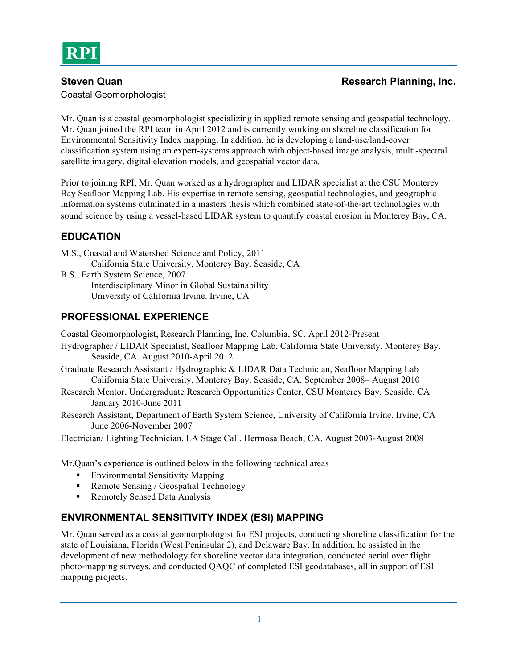Coastal Geomorphologist

Mr. Quan is a coastal geomorphologist specializing in applied remote sensing and geospatial technology. Mr. Quan joined the RPI team in April 2012 and is currently working on shoreline classification for Environmental Sensitivity Index mapping. In addition, he is developing a land-use/land-cover classification system using an expert-systems approach with object-based image analysis, multi-spectral satellite imagery, digital elevation models, and geospatial vector data.

Prior to joining RPI, Mr. Quan worked as a hydrographer and LIDAR specialist at the CSU Monterey Bay Seafloor Mapping Lab. His expertise in remote sensing, geospatial technologies, and geographic information systems culminated in a masters thesis which combined state-of-the-art technologies with sound science by using a vessel-based LIDAR system to quantify coastal erosion in Monterey Bay, CA.

# **EDUCATION**

- M.S., Coastal and Watershed Science and Policy, 2011 California State University, Monterey Bay. Seaside, CA
- B.S., Earth System Science, 2007 Interdisciplinary Minor in Global Sustainability University of California Irvine. Irvine, CA

## **PROFESSIONAL EXPERIENCE**

Coastal Geomorphologist, Research Planning, Inc. Columbia, SC. April 2012-Present

- Hydrographer / LIDAR Specialist, Seafloor Mapping Lab, California State University, Monterey Bay. Seaside, CA. August 2010-April 2012.
- Graduate Research Assistant / Hydrographic & LIDAR Data Technician, Seafloor Mapping Lab California State University, Monterey Bay. Seaside, CA. September 2008– August 2010
- Research Mentor, Undergraduate Research Opportunities Center, CSU Monterey Bay. Seaside, CA January 2010-June 2011
- Research Assistant, Department of Earth System Science, University of California Irvine. Irvine, CA June 2006-November 2007

Electrician/ Lighting Technician, LA Stage Call, Hermosa Beach, CA. August 2003-August 2008

Mr.Quan's experience is outlined below in the following technical areas

- Environmental Sensitivity Mapping
- Remote Sensing / Geospatial Technology
- **Remotely Sensed Data Analysis**

# **ENVIRONMENTAL SENSITIVITY INDEX (ESI) MAPPING**

Mr. Quan served as a coastal geomorphologist for ESI projects, conducting shoreline classification for the state of Louisiana, Florida (West Peninsular 2), and Delaware Bay. In addition, he assisted in the development of new methodology for shoreline vector data integration, conducted aerial over flight photo-mapping surveys, and conducted QAQC of completed ESI geodatabases, all in support of ESI mapping projects.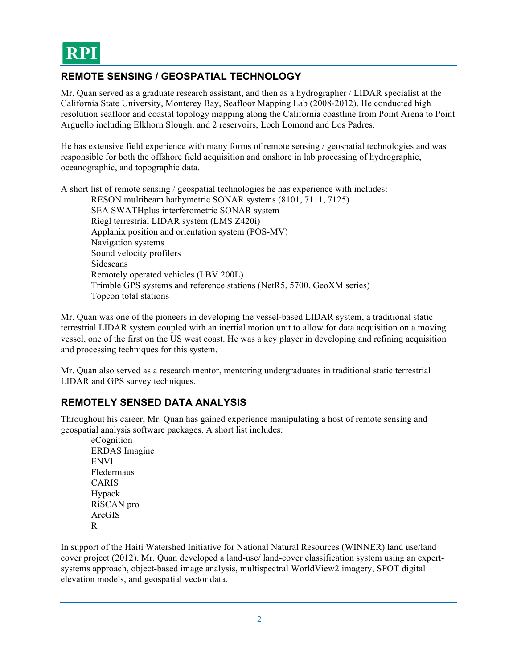## **REMOTE SENSING / GEOSPATIAL TECHNOLOGY**

Mr. Quan served as a graduate research assistant, and then as a hydrographer / LIDAR specialist at the California State University, Monterey Bay, Seafloor Mapping Lab (2008-2012). He conducted high resolution seafloor and coastal topology mapping along the California coastline from Point Arena to Point Arguello including Elkhorn Slough, and 2 reservoirs, Loch Lomond and Los Padres.

He has extensive field experience with many forms of remote sensing / geospatial technologies and was responsible for both the offshore field acquisition and onshore in lab processing of hydrographic, oceanographic, and topographic data.

A short list of remote sensing / geospatial technologies he has experience with includes:

RESON multibeam bathymetric SONAR systems (8101, 7111, 7125) SEA SWATHplus interferometric SONAR system Riegl terrestrial LIDAR system (LMS Z420i) Applanix position and orientation system (POS-MV) Navigation systems Sound velocity profilers Sidescans Remotely operated vehicles (LBV 200L) Trimble GPS systems and reference stations (NetR5, 5700, GeoXM series) Topcon total stations

Mr. Quan was one of the pioneers in developing the vessel-based LIDAR system, a traditional static terrestrial LIDAR system coupled with an inertial motion unit to allow for data acquisition on a moving vessel, one of the first on the US west coast. He was a key player in developing and refining acquisition and processing techniques for this system.

Mr. Quan also served as a research mentor, mentoring undergraduates in traditional static terrestrial LIDAR and GPS survey techniques.

## **REMOTELY SENSED DATA ANALYSIS**

Throughout his career, Mr. Quan has gained experience manipulating a host of remote sensing and geospatial analysis software packages. A short list includes:

eCognition ERDAS Imagine ENVI Fledermaus CARIS Hypack RiSCAN pro ArcGIS R

In support of the Haiti Watershed Initiative for National Natural Resources (WINNER) land use/land cover project (2012), Mr. Quan developed a land-use/ land-cover classification system using an expertsystems approach, object-based image analysis, multispectral WorldView2 imagery, SPOT digital elevation models, and geospatial vector data.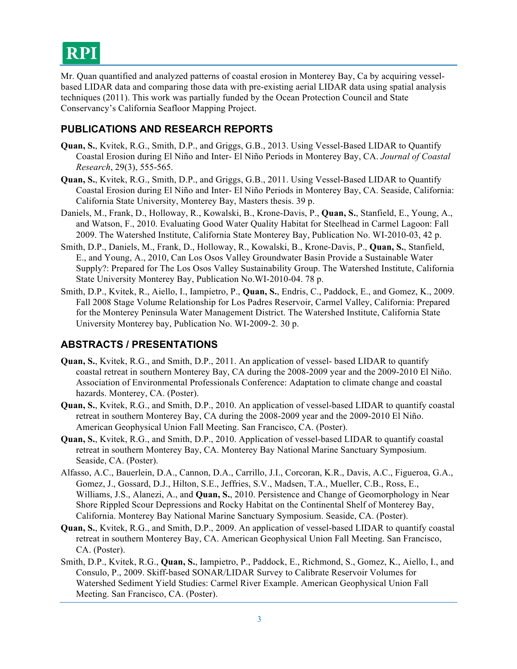Mr. Quan quantified and analyzed patterns of coastal erosion in Monterey Bay, Ca by acquiring vesselbased LIDAR data and comparing those data with pre-existing aerial LIDAR data using spatial analysis techniques (2011). This work was partially funded by the Ocean Protection Council and State Conservancy's California Seafloor Mapping Project.

## **PUBLICATIONS AND RESEARCH REPORTS**

- **Quan, S.**, Kvitek, R.G., Smith, D.P., and Griggs, G.B., 2013. Using Vessel-Based LIDAR to Quantify Coastal Erosion during El Niño and Inter- El Niño Periods in Monterey Bay, CA. *Journal of Coastal Research*, 29(3), 555-565.
- **Quan, S.**, Kvitek, R.G., Smith, D.P., and Griggs, G.B., 2011. Using Vessel-Based LIDAR to Quantify Coastal Erosion during El Niño and Inter- El Niño Periods in Monterey Bay, CA. Seaside, California: California State University, Monterey Bay, Masters thesis. 39 p.
- Daniels, M., Frank, D., Holloway, R., Kowalski, B., Krone-Davis, P., **Quan, S.**, Stanfield, E., Young, A., and Watson, F., 2010. Evaluating Good Water Quality Habitat for Steelhead in Carmel Lagoon: Fall 2009. The Watershed Institute, California State Monterey Bay, Publication No. WI-2010-03, 42 p.
- Smith, D.P., Daniels, M., Frank, D., Holloway, R., Kowalski, B., Krone-Davis, P., **Quan, S.**, Stanfield, E., and Young, A., 2010, Can Los Osos Valley Groundwater Basin Provide a Sustainable Water Supply?: Prepared for The Los Osos Valley Sustainability Group. The Watershed Institute, California State University Monterey Bay, Publication No.WI-2010-04. 78 p.
- Smith, D.P., Kvitek, R., Aiello, I., Iampietro, P., **Quan, S.**, Endris, C., Paddock, E., and Gomez, K., 2009. Fall 2008 Stage Volume Relationship for Los Padres Reservoir, Carmel Valley, California: Prepared for the Monterey Peninsula Water Management District. The Watershed Institute, California State University Monterey bay, Publication No. WI-2009-2. 30 p.

### **ABSTRACTS / PRESENTATIONS**

- **Quan, S.**, Kvitek, R.G., and Smith, D.P., 2011. An application of vessel- based LIDAR to quantify coastal retreat in southern Monterey Bay, CA during the 2008-2009 year and the 2009-2010 El Niño. Association of Environmental Professionals Conference: Adaptation to climate change and coastal hazards. Monterey, CA. (Poster).
- **Quan, S.**, Kvitek, R.G., and Smith, D.P., 2010. An application of vessel-based LIDAR to quantify coastal retreat in southern Monterey Bay, CA during the 2008-2009 year and the 2009-2010 El Niño. American Geophysical Union Fall Meeting. San Francisco, CA. (Poster).
- **Quan, S.**, Kvitek, R.G., and Smith, D.P., 2010. Application of vessel-based LIDAR to quantify coastal retreat in southern Monterey Bay, CA. Monterey Bay National Marine Sanctuary Symposium. Seaside, CA. (Poster).
- Alfasso, A.C., Bauerlein, D.A., Cannon, D.A., Carrillo, J.I., Corcoran, K.R., Davis, A.C., Figueroa, G.A., Gomez, J., Gossard, D.J., Hilton, S.E., Jeffries, S.V., Madsen, T.A., Mueller, C.B., Ross, E., Williams, J.S., Alanezi, A., and **Quan, S.**, 2010. Persistence and Change of Geomorphology in Near Shore Rippled Scour Depressions and Rocky Habitat on the Continental Shelf of Monterey Bay, California. Monterey Bay National Marine Sanctuary Symposium. Seaside, CA. (Poster).
- **Quan, S.**, Kvitek, R.G., and Smith, D.P., 2009. An application of vessel-based LIDAR to quantify coastal retreat in southern Monterey Bay, CA. American Geophysical Union Fall Meeting. San Francisco, CA. (Poster).
- Smith, D.P., Kvitek, R.G., **Quan, S.**, Iampietro, P., Paddock, E., Richmond, S., Gomez, K., Aiello, I., and Consulo, P., 2009. Skiff-based SONAR/LIDAR Survey to Calibrate Reservoir Volumes for Watershed Sediment Yield Studies: Carmel River Example. American Geophysical Union Fall Meeting. San Francisco, CA. (Poster).